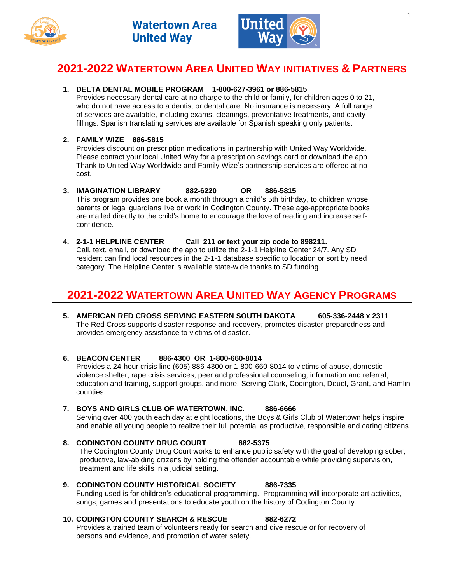



# **2021-2022 WATERTOWN AREA UNITED WAY INITIATIVES & PARTNERS**

# **1. DELTA DENTAL MOBILE PROGRAM 1-800-627-3961 or 886-5815**

Provides necessary dental care at no charge to the child or family, for children ages 0 to 21, who do not have access to a dentist or dental care. No insurance is necessary. A full range of services are available, including exams, cleanings, preventative treatments, and cavity fillings. Spanish translating services are available for Spanish speaking only patients.

# **2. FAMILY WIZE 886-5815**

Provides discount on prescription medications in partnership with United Way Worldwide. Please contact your local United Way for a prescription savings card or download the app. Thank to United Way Worldwide and Family Wize's partnership services are offered at no cost.

# **3. IMAGINATION LIBRARY 882-6220 OR 886-5815**

This program provides one book a month through a child's 5th birthday, to children whose parents or legal guardians live or work in Codington County. These age-appropriate books are mailed directly to the child's home to encourage the love of reading and increase selfconfidence.

# **4. 2-1-1 HELPLINE CENTER Call 211 or text your zip code to 898211.**

Call, text, email, or download the app to utilize the 2-1-1 Helpline Center 24/7. Any SD resident can find local resources in the 2-1-1 database specific to location or sort by need category. The Helpline Center is available state-wide thanks to SD funding.

# **2021-2022 WATERTOWN AREA UNITED WAY AGENCY PROGRAMS**

**5. AMERICAN RED CROSS SERVING EASTERN SOUTH DAKOTA 605-336-2448 x 2311** The Red Cross supports disaster response and recovery, promotes disaster preparedness and provides emergency assistance to victims of disaster.

# **6. BEACON CENTER 886-4300 OR 1-800-660-8014**

Provides a 24-hour crisis line (605) 886-4300 or 1-800-660-8014 to victims of abuse, domestic violence shelter, rape crisis services, peer and professional counseling, information and referral, education and training, support groups, and more. Serving Clark, Codington, Deuel, Grant, and Hamlin counties.

# **7. BOYS AND GIRLS CLUB OF WATERTOWN, INC. 886-6666**

Serving over 400 youth each day at eight locations, the Boys & Girls Club of Watertown helps inspire and enable all young people to realize their full potential as productive, responsible and caring citizens.

- **8. CODINGTON COUNTY DRUG COURT 882-5375** The Codington County Drug Court works to enhance public safety with the goal of developing sober, productive, law-abiding citizens by holding the offender accountable while providing supervision, treatment and life skills in a judicial setting.
- **9. CODINGTON COUNTY HISTORICAL SOCIETY 886-7335** Funding used is for children's educational programming. Programming will incorporate art activities, songs, games and presentations to educate youth on the history of Codington County.

# **10. CODINGTON COUNTY SEARCH & RESCUE 882-6272**

Provides a trained team of volunteers ready for search and dive rescue or for recovery of persons and evidence, and promotion of water safety.

#### 1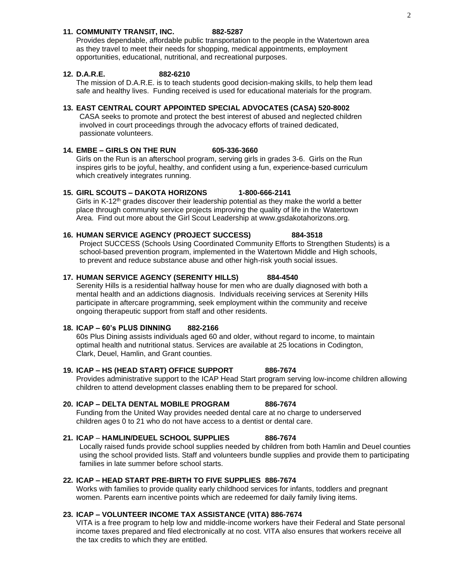### **11. COMMUNITY TRANSIT, INC. 882-5287**

Provides dependable, affordable public transportation to the people in the Watertown area as they travel to meet their needs for shopping, medical appointments, employment opportunities, educational, nutritional, and recreational purposes.

#### **12. D.A.R.E. 882-6210**

The mission of D.A.R.E. is to teach students good decision-making skills, to help them lead safe and healthy lives. Funding received is used for educational materials for the program.

### **13. EAST CENTRAL COURT APPOINTED SPECIAL ADVOCATES (CASA) 520-8002**

CASA seeks to promote and protect the best interest of abused and neglected children involved in court proceedings through the advocacy efforts of trained dedicated, passionate volunteers.

#### **14. EMBE – GIRLS ON THE RUN 605-336-3660**

Girls on the Run is an afterschool program, serving girls in grades 3-6. Girls on the Run inspires girls to be joyful, healthy, and confident using a fun, experience-based curriculum which creatively integrates running.

### **15. GIRL SCOUTS – DAKOTA HORIZONS 1-800-666-2141**

Girls in K-12<sup>th</sup> grades discover their leadership potential as they make the world a better place through community service projects improving the quality of life in the Watertown Area. Find out more about the Girl Scout Leadership at www.gsdakotahorizons.org.

# **16. HUMAN SERVICE AGENCY (PROJECT SUCCESS) 884-3518**

Project SUCCESS (Schools Using Coordinated Community Efforts to Strengthen Students) is a school-based prevention program, implemented in the Watertown Middle and High schools, to prevent and reduce substance abuse and other high-risk youth social issues.

### **17. HUMAN SERVICE AGENCY (SERENITY HILLS) 884-4540**

Serenity Hills is a residential halfway house for men who are dually diagnosed with both a mental health and an addictions diagnosis. Individuals receiving services at Serenity Hills participate in aftercare programming, seek employment within the community and receive ongoing therapeutic support from staff and other residents.

# **18. ICAP – 60's PLUS DINNING 882-2166**

60s Plus Dining assists individuals aged 60 and older, without regard to income, to maintain optimal health and nutritional status. Services are available at 25 locations in Codington, Clark, Deuel, Hamlin, and Grant counties.

# **19. ICAP – HS (HEAD START) OFFICE SUPPORT 886-7674**

Provides administrative support to the ICAP Head Start program serving low-income children allowing children to attend development classes enabling them to be prepared for school.

#### **20. ICAP – DELTA DENTAL MOBILE PROGRAM 886-7674**

Funding from the United Way provides needed dental care at no charge to underserved children ages 0 to 21 who do not have access to a dentist or dental care.

# **21. ICAP** – **HAMLIN/DEUEL SCHOOL SUPPLIES 886-7674**

Locally raised funds provide school supplies needed by children from both Hamlin and Deuel counties using the school provided lists. Staff and volunteers bundle supplies and provide them to participating families in late summer before school starts.

### **22. ICAP – HEAD START PRE-BIRTH TO FIVE SUPPLIES 886-7674**

Works with families to provide quality early childhood services for infants, toddlers and pregnant women. Parents earn incentive points which are redeemed for daily family living items.

# **23. ICAP – VOLUNTEER INCOME TAX ASSISTANCE (VITA) 886-7674**

VITA is a free program to help low and middle-income workers have their Federal and State personal income taxes prepared and filed electronically at no cost. VITA also ensures that workers receive all the tax credits to which they are entitled.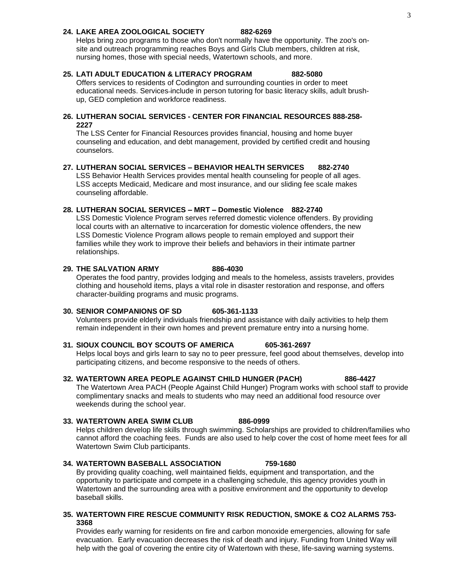### **24. LAKE AREA ZOOLOGICAL SOCIETY 882-6269**

Helps bring zoo programs to those who don't normally have the opportunity. The zoo's onsite and outreach programming reaches Boys and Girls Club members, children at risk, nursing homes, those with special needs, Watertown schools, and more.

### **25. LATI ADULT EDUCATION & LITERACY PROGRAM 882-5080**

Offers services to residents of Codington and surrounding counties in order to meet educational needs. Services include in person tutoring for basic literacy skills, adult brushup, GED completion and workforce readiness.

### **26. LUTHERAN SOCIAL SERVICES - CENTER FOR FINANCIAL RESOURCES 888-258- 2227**

The LSS Center for Financial Resources provides financial, housing and home buyer counseling and education, and debt management, provided by certified credit and housing counselors.

### **27. LUTHERAN SOCIAL SERVICES – BEHAVIOR HEALTH SERVICES 882-2740**

LSS Behavior Health Services provides mental health counseling for people of all ages. LSS accepts Medicaid, Medicare and most insurance, and our sliding fee scale makes counseling affordable.

### **28. LUTHERAN SOCIAL SERVICES – MRT – Domestic Violence 882-2740**

LSS Domestic Violence Program serves referred domestic violence offenders. By providing local courts with an alternative to incarceration for domestic violence offenders, the new LSS Domestic Violence Program allows people to remain employed and support their families while they work to improve their beliefs and behaviors in their intimate partner relationships.

# **29. THE SALVATION ARMY 886-4030**

Operates the food pantry, provides lodging and meals to the homeless, assists travelers, provides clothing and household items, plays a vital role in disaster restoration and response, and offers character-building programs and music programs.

### **30. SENIOR COMPANIONS OF SD 605-361-1133**

Volunteers provide elderly individuals friendship and assistance with daily activities to help them remain independent in their own homes and prevent premature entry into a nursing home.

# **31. SIOUX COUNCIL BOY SCOUTS OF AMERICA 605-361-2697**

Helps local boys and girls learn to say no to peer pressure, feel good about themselves, develop into participating citizens, and become responsive to the needs of others.

### **32. WATERTOWN AREA PEOPLE AGAINST CHILD HUNGER (PACH) 886-4427**

The Watertown Area PACH (People Against Child Hunger) Program works with school staff to provide complimentary snacks and meals to students who may need an additional food resource over weekends during the school year.

# **33. WATERTOWN AREA SWIM CLUB 886-0999**

Helps children develop life skills through swimming. Scholarships are provided to children/families who cannot afford the coaching fees. Funds are also used to help cover the cost of home meet fees for all Watertown Swim Club participants.

### **34. WATERTOWN BASEBALL ASSOCIATION 759-1680**

By providing quality coaching, well maintained fields, equipment and transportation, and the opportunity to participate and compete in a challenging schedule, this agency provides youth in Watertown and the surrounding area with a positive environment and the opportunity to develop baseball skills.

# **35. WATERTOWN FIRE RESCUE COMMUNITY RISK REDUCTION, SMOKE & CO2 ALARMS 753- 3368**

Provides early warning for residents on fire and carbon monoxide emergencies, allowing for safe evacuation. Early evacuation decreases the risk of death and injury. Funding from United Way will help with the goal of covering the entire city of Watertown with these, life-saving warning systems.

# 3